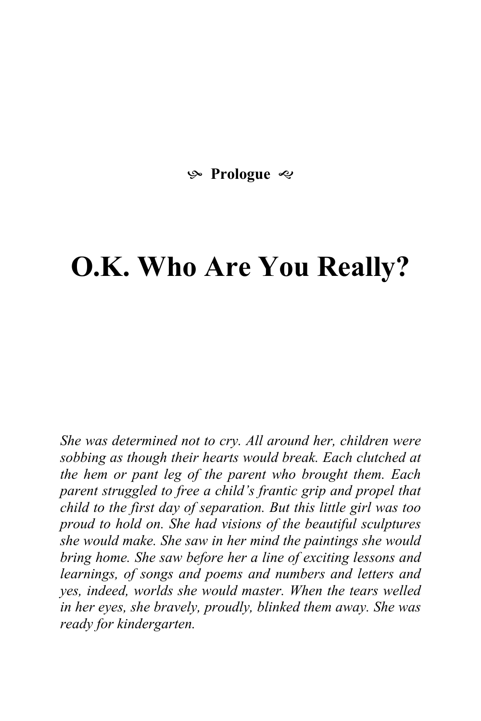K **Prologue** 

## **O.K. Who Are You Really?**

*She was determined not to cry. All around her, children were sobbing as though their hearts would break. Each clutched at the hem or pant leg of the parent who brought them. Each parent struggled to free a child's frantic grip and propel that child to the first day of separation. But this little girl was too proud to hold on. She had visions of the beautiful sculptures she would make. She saw in her mind the paintings she would bring home. She saw before her a line of exciting lessons and learnings, of songs and poems and numbers and letters and yes, indeed, worlds she would master. When the tears welled in her eyes, she bravely, proudly, blinked them away. She was ready for kindergarten.*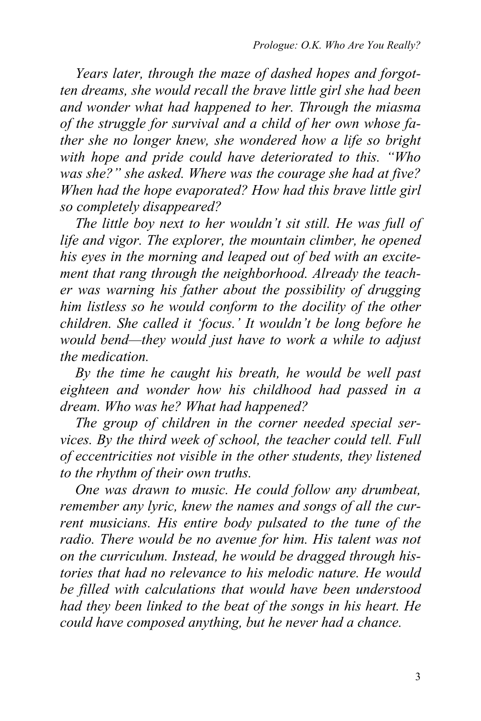*Years later, through the maze of dashed hopes and forgotten dreams, she would recall the brave little girl she had been and wonder what had happened to her. Through the miasma of the struggle for survival and a child of her own whose father she no longer knew, she wondered how a life so bright with hope and pride could have deteriorated to this. "Who was she?" she asked. Where was the courage she had at five? When had the hope evaporated? How had this brave little girl so completely disappeared?* 

*The little boy next to her wouldn't sit still. He was full of life and vigor. The explorer, the mountain climber, he opened his eyes in the morning and leaped out of bed with an excitement that rang through the neighborhood. Already the teacher was warning his father about the possibility of drugging him listless so he would conform to the docility of the other children. She called it 'focus.' It wouldn't be long before he would bend—they would just have to work a while to adjust the medication.* 

*By the time he caught his breath, he would be well past eighteen and wonder how his childhood had passed in a dream. Who was he? What had happened?* 

*The group of children in the corner needed special services. By the third week of school, the teacher could tell. Full of eccentricities not visible in the other students, they listened to the rhythm of their own truths.* 

*One was drawn to music. He could follow any drumbeat, remember any lyric, knew the names and songs of all the current musicians. His entire body pulsated to the tune of the radio. There would be no avenue for him. His talent was not on the curriculum. Instead, he would be dragged through histories that had no relevance to his melodic nature. He would be filled with calculations that would have been understood had they been linked to the beat of the songs in his heart. He could have composed anything, but he never had a chance.*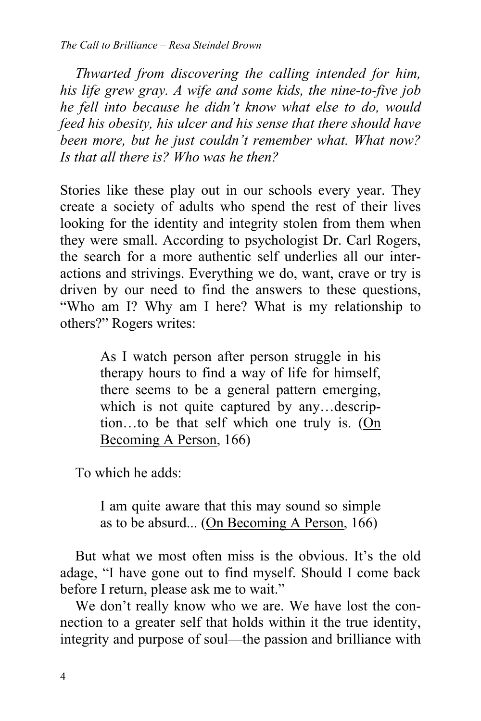*Thwarted from discovering the calling intended for him, his life grew gray. A wife and some kids, the nine-to-five job he fell into because he didn't know what else to do, would feed his obesity, his ulcer and his sense that there should have been more, but he just couldn't remember what. What now? Is that all there is? Who was he then?* 

Stories like these play out in our schools every year. They create a society of adults who spend the rest of their lives looking for the identity and integrity stolen from them when they were small. According to psychologist Dr. Carl Rogers, the search for a more authentic self underlies all our interactions and strivings. Everything we do, want, crave or try is driven by our need to find the answers to these questions, "Who am I? Why am I here? What is my relationship to others?" Rogers writes:

> As I watch person after person struggle in his therapy hours to find a way of life for himself, there seems to be a general pattern emerging, which is not quite captured by any...description…to be that self which one truly is. (On Becoming A Person, 166)

To which he adds:

I am quite aware that this may sound so simple as to be absurd... (On Becoming A Person, 166)

But what we most often miss is the obvious. It's the old adage, "I have gone out to find myself. Should I come back before I return, please ask me to wait."

We don't really know who we are. We have lost the connection to a greater self that holds within it the true identity, integrity and purpose of soul—the passion and brilliance with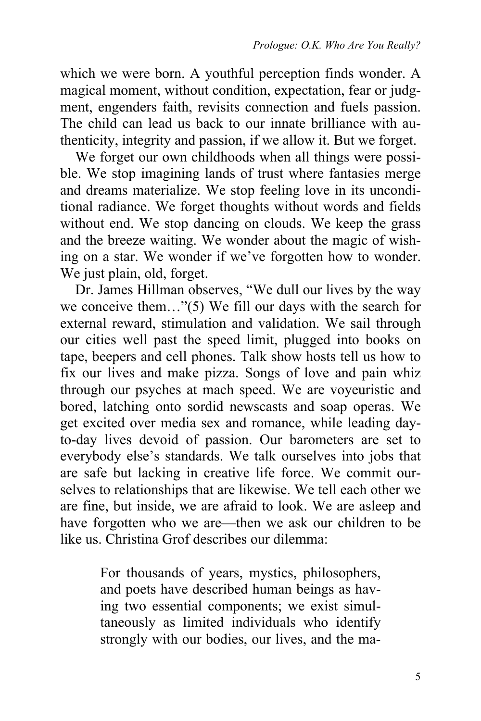which we were born. A youthful perception finds wonder. A magical moment, without condition, expectation, fear or judgment, engenders faith, revisits connection and fuels passion. The child can lead us back to our innate brilliance with authenticity, integrity and passion, if we allow it. But we forget.

We forget our own childhoods when all things were possible. We stop imagining lands of trust where fantasies merge and dreams materialize. We stop feeling love in its unconditional radiance. We forget thoughts without words and fields without end. We stop dancing on clouds. We keep the grass and the breeze waiting. We wonder about the magic of wishing on a star. We wonder if we've forgotten how to wonder. We just plain, old, forget.

Dr. James Hillman observes, "We dull our lives by the way we conceive them…"(5) We fill our days with the search for external reward, stimulation and validation. We sail through our cities well past the speed limit, plugged into books on tape, beepers and cell phones. Talk show hosts tell us how to fix our lives and make pizza. Songs of love and pain whiz through our psyches at mach speed. We are voyeuristic and bored, latching onto sordid newscasts and soap operas. We get excited over media sex and romance, while leading dayto-day lives devoid of passion. Our barometers are set to everybody else's standards. We talk ourselves into jobs that are safe but lacking in creative life force. We commit ourselves to relationships that are likewise. We tell each other we are fine, but inside, we are afraid to look. We are asleep and have forgotten who we are—then we ask our children to be like us. Christina Grof describes our dilemma:

> For thousands of years, mystics, philosophers, and poets have described human beings as having two essential components; we exist simultaneously as limited individuals who identify strongly with our bodies, our lives, and the ma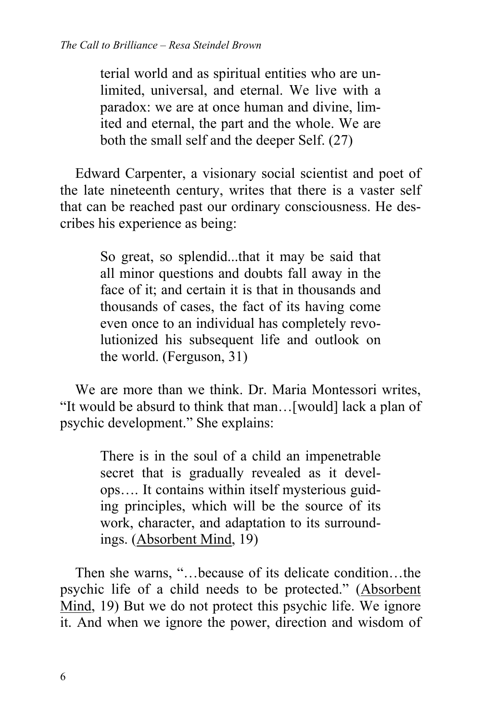terial world and as spiritual entities who are unlimited, universal, and eternal. We live with a paradox: we are at once human and divine, limited and eternal, the part and the whole. We are both the small self and the deeper Self. (27)

Edward Carpenter, a visionary social scientist and poet of the late nineteenth century, writes that there is a vaster self that can be reached past our ordinary consciousness. He describes his experience as being:

> So great, so splendid...that it may be said that all minor questions and doubts fall away in the face of it; and certain it is that in thousands and thousands of cases, the fact of its having come even once to an individual has completely revolutionized his subsequent life and outlook on the world. (Ferguson, 31)

We are more than we think. Dr. Maria Montessori writes, "It would be absurd to think that man…[would] lack a plan of psychic development." She explains:

> There is in the soul of a child an impenetrable secret that is gradually revealed as it develops…. It contains within itself mysterious guiding principles, which will be the source of its work, character, and adaptation to its surroundings. (Absorbent Mind, 19)

Then she warns, "…because of its delicate condition…the psychic life of a child needs to be protected." (Absorbent Mind, 19) But we do not protect this psychic life. We ignore it. And when we ignore the power, direction and wisdom of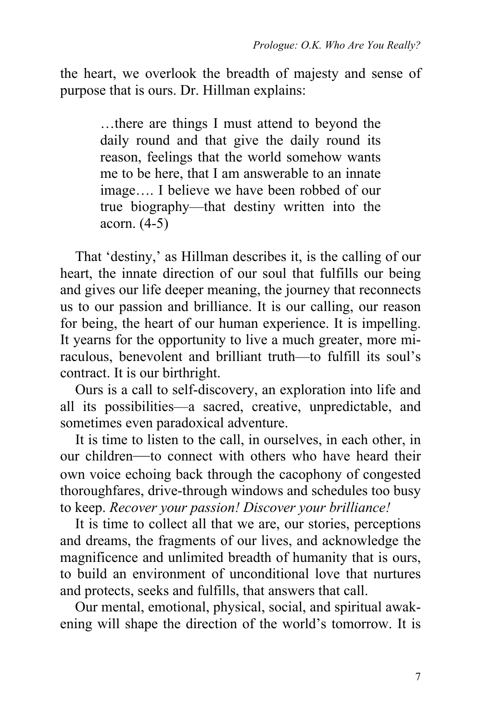the heart, we overlook the breadth of majesty and sense of purpose that is ours. Dr. Hillman explains:

> …there are things I must attend to beyond the daily round and that give the daily round its reason, feelings that the world somehow wants me to be here, that I am answerable to an innate image…. I believe we have been robbed of our true biography—that destiny written into the acorn. (4-5)

That 'destiny,' as Hillman describes it, is the calling of our heart, the innate direction of our soul that fulfills our being and gives our life deeper meaning, the journey that reconnects us to our passion and brilliance. It is our calling, our reason for being, the heart of our human experience. It is impelling. It yearns for the opportunity to live a much greater, more miraculous, benevolent and brilliant truth—to fulfill its soul's contract. It is our birthright.

Ours is a call to self-discovery, an exploration into life and all its possibilities—a sacred, creative, unpredictable, and sometimes even paradoxical adventure.

It is time to listen to the call, in ourselves, in each other, in our children——to connect with others who have heard their own voice echoing back through the cacophony of congested thoroughfares, drive-through windows and schedules too busy to keep. *Recover your passion! Discover your brilliance!*

It is time to collect all that we are, our stories, perceptions and dreams, the fragments of our lives, and acknowledge the magnificence and unlimited breadth of humanity that is ours, to build an environment of unconditional love that nurtures and protects, seeks and fulfills, that answers that call.

Our mental, emotional, physical, social, and spiritual awakening will shape the direction of the world's tomorrow. It is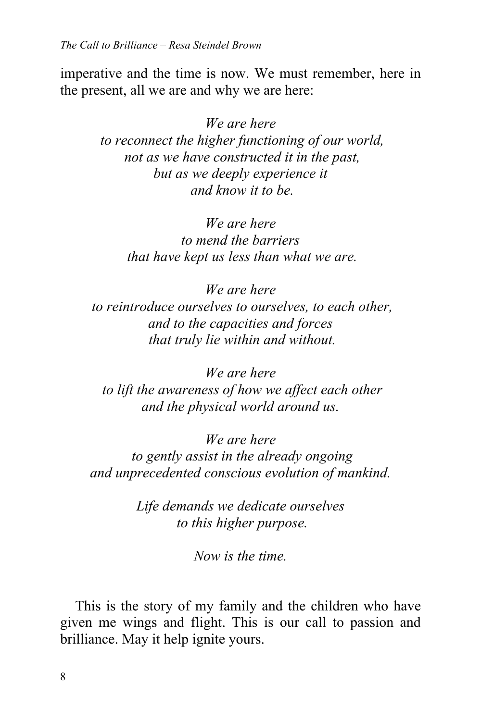imperative and the time is now. We must remember, here in the present, all we are and why we are here:

> *We are here to reconnect the higher functioning of our world, not as we have constructed it in the past, but as we deeply experience it and know it to be.*

*We are here to mend the barriers that have kept us less than what we are.* 

*We are here to reintroduce ourselves to ourselves, to each other, and to the capacities and forces that truly lie within and without.* 

*We are here to lift the awareness of how we affect each other and the physical world around us.* 

*We are here to gently assist in the already ongoing and unprecedented conscious evolution of mankind.* 

> *Life demands we dedicate ourselves to this higher purpose.*

> > *Now is the time.*

This is the story of my family and the children who have given me wings and flight. This is our call to passion and brilliance. May it help ignite yours.